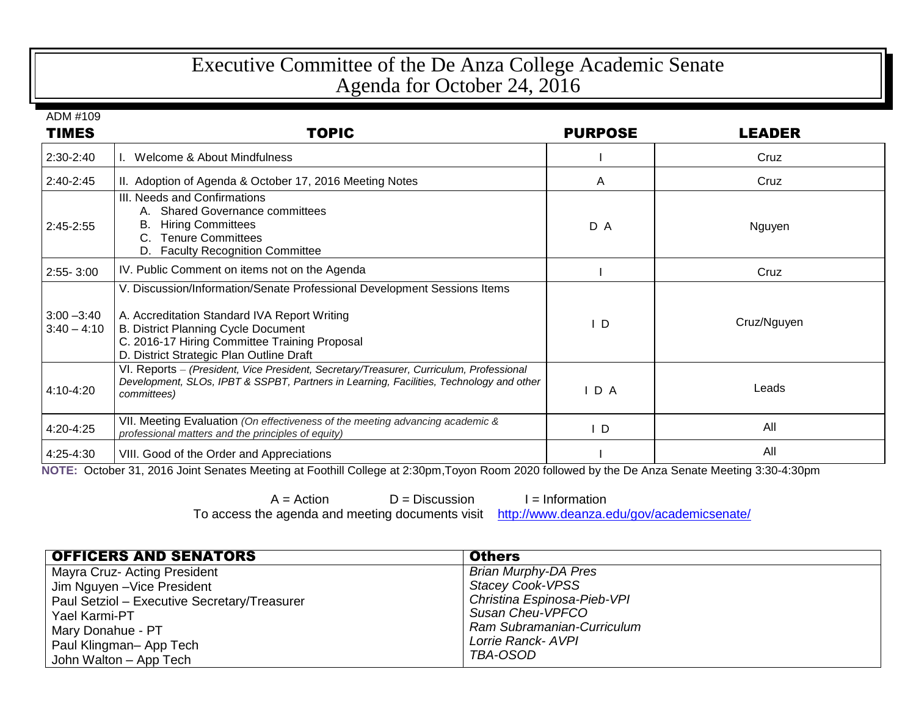## Executive Committee of the De Anza College Academic Senate Agenda for October 24, 2016

ADM #109

| <b>TIMES</b>                   | <b>TOPIC</b>                                                                                                                                                                                                                                                        | <b>PURPOSE</b> | <b>LEADER</b> |
|--------------------------------|---------------------------------------------------------------------------------------------------------------------------------------------------------------------------------------------------------------------------------------------------------------------|----------------|---------------|
| 2:30-2:40                      | Welcome & About Mindfulness                                                                                                                                                                                                                                         |                | Cruz          |
| $2:40-2:45$                    | II. Adoption of Agenda & October 17, 2016 Meeting Notes                                                                                                                                                                                                             | A              | Cruz          |
| 2:45-2:55                      | III. Needs and Confirmations<br>A. Shared Governance committees<br><b>Hiring Committees</b><br>В.<br><b>Tenure Committees</b><br>$C_{\cdot}$<br>D. Faculty Recognition Committee                                                                                    | D A            | Nguyen        |
| $2:55 - 3:00$                  | IV. Public Comment on items not on the Agenda                                                                                                                                                                                                                       |                | Cruz          |
| $3:00 - 3:40$<br>$3:40 - 4:10$ | V. Discussion/Information/Senate Professional Development Sessions Items<br>A. Accreditation Standard IVA Report Writing<br><b>B. District Planning Cycle Document</b><br>C. 2016-17 Hiring Committee Training Proposal<br>D. District Strategic Plan Outline Draft | I D            | Cruz/Nguyen   |
| 4:10-4:20                      | VI. Reports - (President, Vice President, Secretary/Treasurer, Curriculum, Professional<br>Development, SLOs, IPBT & SSPBT, Partners in Learning, Facilities, Technology and other<br>committees)                                                                   | $I$ D A        | Leads         |
| 4:20-4:25                      | VII. Meeting Evaluation (On effectiveness of the meeting advancing academic &<br>professional matters and the principles of equity)                                                                                                                                 | ΙD             | All           |
| 4:25-4:30                      | VIII. Good of the Order and Appreciations                                                                                                                                                                                                                           |                | All           |

**NOTE:** October 31, 2016 Joint Senates Meeting at Foothill College at 2:30pm,Toyon Room 2020 followed by the De Anza Senate Meeting 3:30-4:30pm

 $A =$  Action  $D =$  Discussion  $I =$  Information<br>a agenda and meeting documents visit http://www.deanza.edu/gov/academicsenate/ To access the agenda and meeting documents visit

| <b>OFFICERS AND SENATORS</b>                 | <b>Others</b>               |
|----------------------------------------------|-----------------------------|
| Mayra Cruz- Acting President                 | <b>Brian Murphy-DA Pres</b> |
| Jim Nguyen - Vice President                  | <b>Stacey Cook-VPSS</b>     |
| Paul Setziol - Executive Secretary/Treasurer | Christina Espinosa-Pieb-VPI |
| Yael Karmi-PT                                | Susan Cheu-VPFCO            |
| Mary Donahue - PT                            | Ram Subramanian-Curriculum  |
| Paul Klingman-App Tech                       | Lorrie Ranck- AVPI          |
| John Walton - App Tech                       | TBA-OSOD                    |